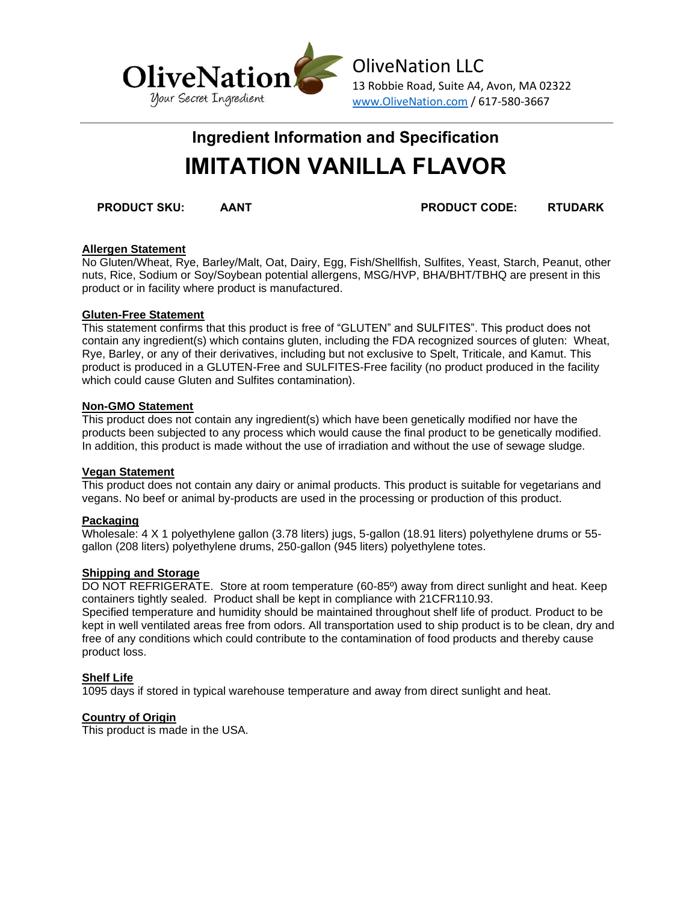

# **Ingredient Information and Specification IMITATION VANILLA FLAVOR**

**PRODUCT SKU: AANT PRODUCT CODE: RTUDARK**

## **Allergen Statement**

No Gluten/Wheat, Rye, Barley/Malt, Oat, Dairy, Egg, Fish/Shellfish, Sulfites, Yeast, Starch, Peanut, other nuts, Rice, Sodium or Soy/Soybean potential allergens, MSG/HVP, BHA/BHT/TBHQ are present in this product or in facility where product is manufactured.

## **Gluten-Free Statement**

This statement confirms that this product is free of "GLUTEN" and SULFITES". This product does not contain any ingredient(s) which contains gluten, including the FDA recognized sources of gluten: Wheat, Rye, Barley, or any of their derivatives, including but not exclusive to Spelt, Triticale, and Kamut. This product is produced in a GLUTEN-Free and SULFITES-Free facility (no product produced in the facility which could cause Gluten and Sulfites contamination).

### **Non-GMO Statement**

This product does not contain any ingredient(s) which have been genetically modified nor have the products been subjected to any process which would cause the final product to be genetically modified. In addition, this product is made without the use of irradiation and without the use of sewage sludge.

### **Vegan Statement**

This product does not contain any dairy or animal products. This product is suitable for vegetarians and vegans. No beef or animal by-products are used in the processing or production of this product.

# **Packaging**

Wholesale: 4 X 1 polyethylene gallon (3.78 liters) jugs, 5-gallon (18.91 liters) polyethylene drums or 55 gallon (208 liters) polyethylene drums, 250-gallon (945 liters) polyethylene totes.

### **Shipping and Storage**

DO NOT REFRIGERATE. Store at room temperature (60-85º) away from direct sunlight and heat. Keep containers tightly sealed. Product shall be kept in compliance with 21CFR110.93. Specified temperature and humidity should be maintained throughout shelf life of product. Product to be kept in well ventilated areas free from odors. All transportation used to ship product is to be clean, dry and free of any conditions which could contribute to the contamination of food products and thereby cause product loss.

# **Shelf Life**

1095 days if stored in typical warehouse temperature and away from direct sunlight and heat.

## **Country of Origin**

This product is made in the USA.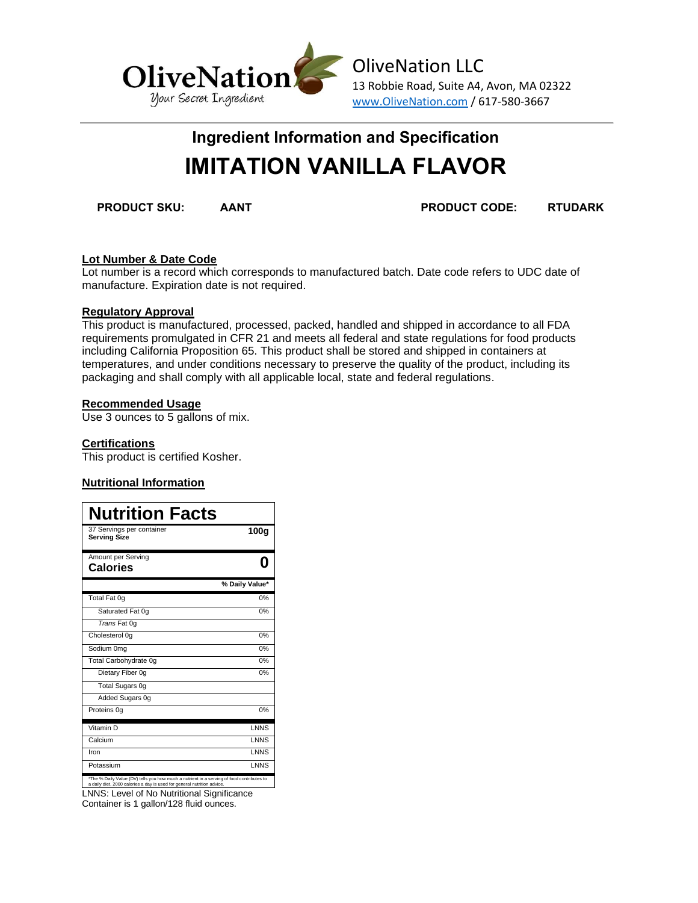

OliveNation LLC 13 Robbie Road, Suite A4, Avon, MA 02322 www.OliveNation.com / 617-580-3667

# **Ingredient Information and Specification IMITATION VANILLA FLAVOR**

**PRODUCT SKU: AANT PRODUCT CODE: RTUDARK**

## **Lot Number & Date Code**

Lot number is a record which corresponds to manufactured batch. Date code refers to UDC date of manufacture. Expiration date is not required.

### **Regulatory Approval**

This product is manufactured, processed, packed, handled and shipped in accordance to all FDA requirements promulgated in CFR 21 and meets all federal and state regulations for food products including California Proposition 65. This product shall be stored and shipped in containers at temperatures, and under conditions necessary to preserve the quality of the product, including its packaging and shall comply with all applicable local, state and federal regulations.

## **Recommended Usage**

Use 3 ounces to 5 gallons of mix.

## **Certifications**

This product is certified Kosher.

# **Nutritional Information**

| <b>Nutrition Facts</b>                                                                                                                                               |                  |
|----------------------------------------------------------------------------------------------------------------------------------------------------------------------|------------------|
| 37 Servings per container<br><b>Serving Size</b>                                                                                                                     | 100 <sub>g</sub> |
| Amount per Serving<br><b>Calories</b>                                                                                                                                |                  |
|                                                                                                                                                                      | % Daily Value*   |
| Total Fat 0g                                                                                                                                                         | 0%               |
| Saturated Fat 0q                                                                                                                                                     | 0%               |
| Trans Fat 0g                                                                                                                                                         |                  |
| Cholesterol 0q                                                                                                                                                       | 0%               |
| Sodium 0mg                                                                                                                                                           | 0%               |
| Total Carbohydrate 0g                                                                                                                                                | 0%               |
| Dietary Fiber 0q                                                                                                                                                     | 0%               |
| Total Sugars 0g                                                                                                                                                      |                  |
| Added Sugars 0g                                                                                                                                                      |                  |
| Proteins 0q                                                                                                                                                          | 0%               |
| Vitamin D                                                                                                                                                            | <b>LNNS</b>      |
| Calcium                                                                                                                                                              | <b>LNNS</b>      |
| Iron                                                                                                                                                                 | <b>LNNS</b>      |
| Potassium                                                                                                                                                            | <b>LNNS</b>      |
| *The % Daily Value (DV) tells you how much a nutrient in a serving of food contributes to<br>a daily diet. 2000 calories a day is used for general nutrition advice. |                  |

LNNS: Level of No Nutritional Significance Container is 1 gallon/128 fluid ounces.